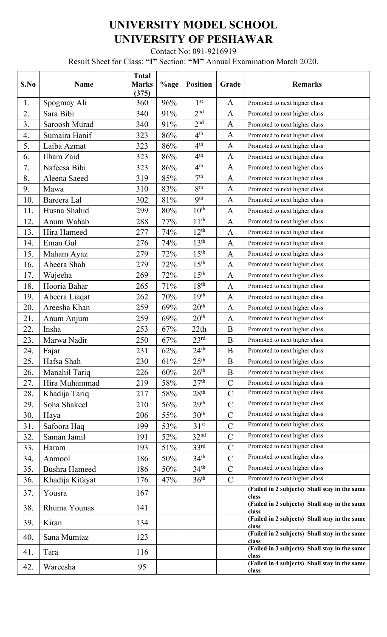## **UNIVERSITY MODEL SCHOOL UNIVERSITY OF PESHAWAR**

Contact No: 091-9216919

Result Sheet for Class: **"I"** Section: **"M"** Annual Examination March 2020.

| S.No | <b>Name</b>          | <b>Total</b><br><b>Marks</b><br>(375) | %age   | <b>Position</b>  | Grade          | <b>Remarks</b>                                         |
|------|----------------------|---------------------------------------|--------|------------------|----------------|--------------------------------------------------------|
| 1.   | Spogmay Ali          | 360                                   | 96%    | 1 <sup>st</sup>  | A              | Promoted to next higher class                          |
| 2.   | Sara Bibi            | 340                                   | 91%    | 2 <sup>nd</sup>  | $\mathbf{A}$   | Promoted to next higher class                          |
| 3.   | Saroosh Murad        | 340                                   | 91%    | 2 <sup>nd</sup>  | A              | Promoted to next higher class                          |
| 4.   | Sumaira Hanif        | 323                                   | 86%    | 4 <sup>th</sup>  | $\mathbf{A}$   | Promoted to next higher class                          |
| 5.   | Laiba Azmat          | 323                                   | 86%    | 4 <sup>th</sup>  | $\mathbf{A}$   | Promoted to next higher class                          |
| 6.   | Ilham Zaid           | 323                                   | 86%    | 4 <sup>th</sup>  | $\mathbf{A}$   | Promoted to next higher class                          |
| 7.   | Nafeesa Bibi         | 323                                   | 86%    | 4 <sup>th</sup>  | $\mathbf{A}$   | Promoted to next higher class                          |
| 8.   | Aleena Saeed         | 319                                   | 85%    | 7 <sup>th</sup>  | $\mathbf{A}$   | Promoted to next higher class                          |
| 9.   | Mawa                 | 310                                   | 83%    | 8 <sup>th</sup>  | $\mathbf{A}$   | Promoted to next higher class                          |
| 10.  | Bareera Lal          | 302                                   | $81\%$ | 9 <sup>th</sup>  | $\mathbf{A}$   | Promoted to next higher class                          |
| 11.  | Husna Shahid         | 299                                   | 80%    | $10^{\text{th}}$ | $\mathbf{A}$   | Promoted to next higher class                          |
| 12.  | Anum Wahab           | 288                                   | 77%    | 11 <sup>th</sup> | $\mathbf{A}$   | Promoted to next higher class                          |
| 13.  | Hira Hameed          | 277                                   | 74%    | $12^{\text{th}}$ | $\mathbf{A}$   | Promoted to next higher class                          |
| 14.  | Eman Gul             | 276                                   | 74%    | 13 <sup>th</sup> | $\mathbf{A}$   | Promoted to next higher class                          |
| 15.  | Maham Ayaz           | 279                                   | 72%    | 15 <sup>th</sup> | $\mathbf{A}$   | Promoted to next higher class                          |
| 16.  | Abeera Shah          | 279                                   | 72%    | 15 <sup>th</sup> | $\mathbf{A}$   | Promoted to next higher class                          |
| 17.  | Wajeeha              | 269                                   | 72%    | 15 <sup>th</sup> | $\mathbf{A}$   | Promoted to next higher class                          |
| 18.  | Hooria Bahar         | 265                                   | 71%    | 18 <sup>th</sup> | $\mathbf{A}$   | Promoted to next higher class                          |
| 19.  | Abeera Liaqat        | 262                                   | 70%    | 19 <sup>th</sup> | $\mathbf{A}$   | Promoted to next higher class                          |
| 20.  | Areesha Khan         | 259                                   | 69%    | 20 <sup>th</sup> | $\mathbf{A}$   | Promoted to next higher class                          |
| 21.  | Anum Anjum           | 259                                   | 69%    | 20 <sup>th</sup> | $\mathbf{A}$   | Promoted to next higher class                          |
| 22.  | Insha                | 253                                   | 67%    | 22th             | B              | Promoted to next higher class                          |
| 23.  | Marwa Nadir          | 250                                   | 67%    | 23 <sup>rd</sup> | $\mathbf B$    | Promoted to next higher class                          |
| 24.  | Fajar                | 231                                   | 62%    | 24 <sup>th</sup> | B              | Promoted to next higher class                          |
| 25.  | Hafsa Shah           | 230                                   | 61%    | 25 <sup>th</sup> | B              | Promoted to next higher class                          |
| 26.  | Manahil Tariq        | 226                                   | 60%    | 26 <sup>th</sup> | $\bf{B}$       | Promoted to next higher class                          |
| 27.  | Hira Muhammad        | 219                                   | 58%    | 27 <sup>th</sup> | $\mathbf C$    | Promoted to next higher class                          |
| 28.  | Khadija Tariq        | 217                                   | 58%    | 28 <sup>th</sup> | $\overline{C}$ | Promoted to next higher class                          |
| 29.  | Soha Shakeel         | 210                                   | 56%    | 29 <sup>th</sup> | $\overline{C}$ | Promoted to next higher class                          |
| 30.  | Haya                 | 206                                   | 55%    | 30 <sup>th</sup> | $\mathsf{C}$   | Promoted to next higher class                          |
| 31.  | Safoora Haq          | 199                                   | 53%    | 31 <sup>st</sup> | $\mathbf C$    | Promoted to next higher class                          |
| 32.  | Saman Jamil          | 191                                   | 52%    | 32 <sup>nd</sup> | $\overline{C}$ | Promoted to next higher class                          |
| 33.  | Haram                | 193                                   | 51%    | 33 <sup>rd</sup> | $\mathbf C$    | Promoted to next higher class                          |
| 34.  | Anmool               | 186                                   | 50%    | 34 <sup>th</sup> | $\overline{C}$ | Promoted to next higher class                          |
| 35.  | <b>Bushra Hameed</b> | 186                                   | 50%    | 34 <sup>th</sup> | $\overline{C}$ | Promoted to next higher class                          |
| 36.  | Khadija Kifayat      | 176                                   | 47%    | 36 <sup>th</sup> | $\mathcal{C}$  | Promoted to next higher class                          |
| 37.  | Yousra               | 167                                   |        |                  |                | (Failed in 2 subjects) Shall stay in the same<br>class |
| 38.  | Rhuma Younas         | 141                                   |        |                  |                | (Failed in 2 subjects) Shall stay in the same<br>class |
| 39.  | Kiran                | 134                                   |        |                  |                | (Failed in 2 subjects) Shall stay in the same<br>class |
| 40.  | Sana Mumtaz          | 123                                   |        |                  |                | (Failed in 2 subjects) Shall stay in the same<br>class |
| 41.  | Tara                 | 116                                   |        |                  |                | (Failed in 3 subjects) Shall stay in the same<br>class |
| 42.  | Wareesha             | 95                                    |        |                  |                | (Failed in 4 subjects) Shall stay in the same<br>class |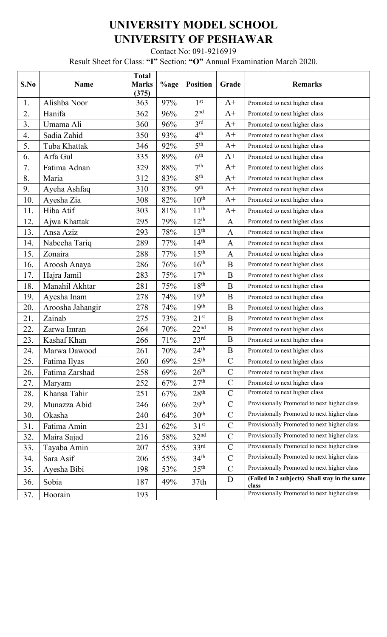## **UNIVERSITY MODEL SCHOOL UNIVERSITY OF PESHAWAR**

Contact No: 091-9216919

Result Sheet for Class: **"I"** Section: **"O"** Annual Examination March 2020.

| S.No | <b>Name</b>      | <b>Total</b><br><b>Marks</b><br>(375) | %age | <b>Position</b>  | Grade          | <b>Remarks</b>                                         |
|------|------------------|---------------------------------------|------|------------------|----------------|--------------------------------------------------------|
| 1.   | Alishba Noor     | 363                                   | 97%  | 1 <sup>st</sup>  | $A+$           | Promoted to next higher class                          |
| 2.   | Hanifa           | 362                                   | 96%  | 2 <sup>nd</sup>  | $A+$           | Promoted to next higher class                          |
| 3.   | Umama Ali        | 360                                   | 96%  | $3^{\text{rd}}$  | $A+$           | Promoted to next higher class                          |
| 4.   | Sadia Zahid      | 350                                   | 93%  | 4 <sup>th</sup>  | $A+$           | Promoted to next higher class                          |
| 5.   | Tuba Khattak     | 346                                   | 92%  | 5 <sup>th</sup>  | $\mathrm{A}^+$ | Promoted to next higher class                          |
| 6.   | Arfa Gul         | 335                                   | 89%  | 6 <sup>th</sup>  | $A+$           | Promoted to next higher class                          |
| 7.   | Fatima Adnan     | 329                                   | 88%  | 7 <sup>th</sup>  | $A+$           | Promoted to next higher class                          |
| 8.   | Maria            | 312                                   | 83%  | 8 <sup>th</sup>  | $A+$           | Promoted to next higher class                          |
| 9.   | Ayeha Ashfaq     | 310                                   | 83%  | 9 <sup>th</sup>  | $A+$           | Promoted to next higher class                          |
| 10.  | Ayesha Zia       | 308                                   | 82%  | $10^{\text{th}}$ | $A+$           | Promoted to next higher class                          |
| 11.  | Hiba Atif        | 303                                   | 81%  | 11 <sup>th</sup> | $A+$           | Promoted to next higher class                          |
| 12.  | Ajwa Khattak     | 295                                   | 79%  | $12^{th}$        | $\mathbf{A}$   | Promoted to next higher class                          |
| 13.  | Ansa Aziz        | 293                                   | 78%  | 13 <sup>th</sup> | $\mathbf{A}$   | Promoted to next higher class                          |
| 14.  | Nabeeha Tariq    | 289                                   | 77%  | 14 <sup>th</sup> | A              | Promoted to next higher class                          |
| 15.  | Zonaira          | 288                                   | 77%  | 15 <sup>th</sup> | $\mathbf{A}$   | Promoted to next higher class                          |
| 16.  | Aroosh Anaya     | 286                                   | 76%  | 16 <sup>th</sup> | $\mathbf B$    | Promoted to next higher class                          |
| 17.  | Hajra Jamil      | 283                                   | 75%  | 17 <sup>th</sup> | $\bf{B}$       | Promoted to next higher class                          |
| 18.  | Manahil Akhtar   | 281                                   | 75%  | 18 <sup>th</sup> | $\bf{B}$       | Promoted to next higher class                          |
| 19.  | Ayesha Inam      | 278                                   | 74%  | 19 <sup>th</sup> | B              | Promoted to next higher class                          |
| 20.  | Aroosha Jahangir | 278                                   | 74%  | 19 <sup>th</sup> | B              | Promoted to next higher class                          |
| 21.  | Zainab           | 275                                   | 73%  | $21^{st}$        | $\bf{B}$       | Promoted to next higher class                          |
| 22.  | Zarwa Imran      | 264                                   | 70%  | 22 <sup>nd</sup> | $\mathbf B$    | Promoted to next higher class                          |
| 23.  | Kashaf Khan      | 266                                   | 71%  | 23 <sup>rd</sup> | $\bf{B}$       | Promoted to next higher class                          |
| 24.  | Marwa Dawood     | 261                                   | 70%  | 24 <sup>th</sup> | $\mathbf B$    | Promoted to next higher class                          |
| 25.  | Fatima Ilyas     | 260                                   | 69%  | 25 <sup>th</sup> | $\mathbf C$    | Promoted to next higher class                          |
| 26.  | Fatima Zarshad   | 258                                   | 69%  | 26 <sup>th</sup> | $\mathbf C$    | Promoted to next higher class                          |
| 27.  | Maryam           | 252                                   | 67%  | 27 <sup>th</sup> | $\mathbf C$    | Promoted to next higher class                          |
| 28.  | Khansa Tahir     | 251                                   | 67%  | 28 <sup>th</sup> | $\mathbf C$    | Promoted to next higher class                          |
| 29.  | Munazza Abid     | 246                                   | 66%  | 29 <sup>th</sup> | $\mathbf C$    | Provisionally Promoted to next higher class            |
| 30.  | Okasha           | 240                                   | 64%  | 30 <sup>th</sup> | $\mathcal{C}$  | Provisionally Promoted to next higher class            |
| 31.  | Fatima Amin      | 231                                   | 62%  | 31 <sup>st</sup> | $\mathcal{C}$  | Provisionally Promoted to next higher class            |
| 32.  | Maira Sajad      | 216                                   | 58%  | 32 <sup>nd</sup> | $\mathbf C$    | Provisionally Promoted to next higher class            |
| 33.  | Tayaba Amin      | 207                                   | 55%  | 33 <sup>rd</sup> | $\mathcal{C}$  | Provisionally Promoted to next higher class            |
| 34.  | Sara Asif        | 206                                   | 55%  | 34 <sup>th</sup> | $\mathbf C$    | Provisionally Promoted to next higher class            |
| 35.  | Ayesha Bibi      | 198                                   | 53%  | 35 <sup>th</sup> | $\mathbf C$    | Provisionally Promoted to next higher class            |
| 36.  | Sobia            | 187                                   | 49%  | 37 <sub>th</sub> | $\mathbf{D}$   | (Failed in 2 subjects) Shall stay in the same<br>class |
| 37.  | Hoorain          | 193                                   |      |                  |                | Provisionally Promoted to next higher class            |